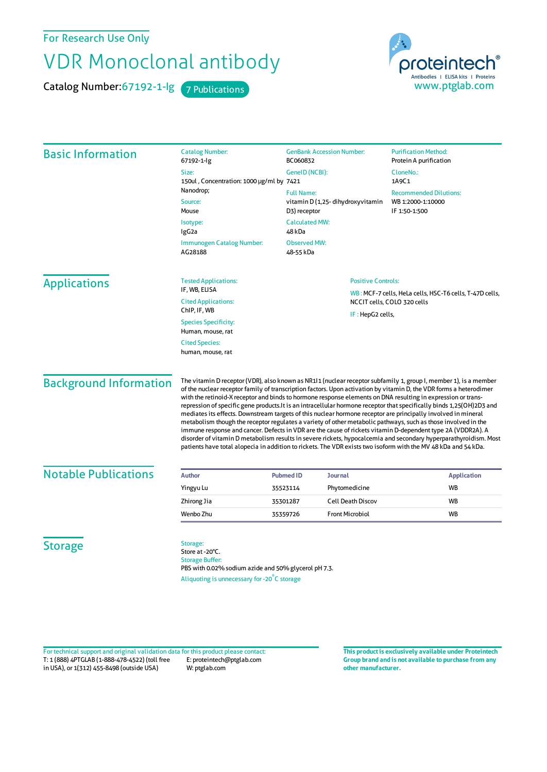For Research Use Only

## VDR Monoclonal antibody

Catalog Number: 67192-1-lg 7 Publications



| <b>Basic Information</b>      | <b>Catalog Number:</b><br>67192-1-lg                                                                                                                                                                                                                                                                                                                                                                                                                                                                                                                                                                                                                                                                                                                                                                                                                                                                                                                                                                                                                                  | <b>GenBank Accession Number:</b><br>BC060832                                                             |                                                                                        | <b>Purification Method:</b><br>Protein A purification               |  |
|-------------------------------|-----------------------------------------------------------------------------------------------------------------------------------------------------------------------------------------------------------------------------------------------------------------------------------------------------------------------------------------------------------------------------------------------------------------------------------------------------------------------------------------------------------------------------------------------------------------------------------------------------------------------------------------------------------------------------------------------------------------------------------------------------------------------------------------------------------------------------------------------------------------------------------------------------------------------------------------------------------------------------------------------------------------------------------------------------------------------|----------------------------------------------------------------------------------------------------------|----------------------------------------------------------------------------------------|---------------------------------------------------------------------|--|
|                               | Size:<br>150ul, Concentration: 1000 µg/ml by 7421<br>Nanodrop;<br>Source:<br>Mouse                                                                                                                                                                                                                                                                                                                                                                                                                                                                                                                                                                                                                                                                                                                                                                                                                                                                                                                                                                                    | GenelD (NCBI):                                                                                           |                                                                                        | CloneNo.:<br>1A9C1                                                  |  |
|                               |                                                                                                                                                                                                                                                                                                                                                                                                                                                                                                                                                                                                                                                                                                                                                                                                                                                                                                                                                                                                                                                                       | <b>Full Name:</b><br>vitamin D (1,25-dihydroxyvitamin<br>D3) receptor<br><b>Calculated MW:</b><br>48 kDa |                                                                                        | <b>Recommended Dilutions:</b><br>WB 1:2000-1:10000<br>IF 1:50-1:500 |  |
|                               | Isotype:<br>IgG <sub>2a</sub>                                                                                                                                                                                                                                                                                                                                                                                                                                                                                                                                                                                                                                                                                                                                                                                                                                                                                                                                                                                                                                         |                                                                                                          |                                                                                        |                                                                     |  |
|                               | Immunogen Catalog Number:<br>AG28188                                                                                                                                                                                                                                                                                                                                                                                                                                                                                                                                                                                                                                                                                                                                                                                                                                                                                                                                                                                                                                  | <b>Observed MW:</b><br>48-55 kDa                                                                         |                                                                                        |                                                                     |  |
| <b>Applications</b>           | <b>Tested Applications:</b><br>IF, WB, ELISA                                                                                                                                                                                                                                                                                                                                                                                                                                                                                                                                                                                                                                                                                                                                                                                                                                                                                                                                                                                                                          | <b>Positive Controls:</b>                                                                                |                                                                                        |                                                                     |  |
|                               | <b>Cited Applications:</b><br>ChIP, IF, WB                                                                                                                                                                                                                                                                                                                                                                                                                                                                                                                                                                                                                                                                                                                                                                                                                                                                                                                                                                                                                            |                                                                                                          | WB: MCF-7 cells, HeLa cells, HSC-T6 cells, T-47D cells,<br>NCCIT cells, COLO 320 cells |                                                                     |  |
|                               | <b>Species Specificity:</b><br>Human, mouse, rat                                                                                                                                                                                                                                                                                                                                                                                                                                                                                                                                                                                                                                                                                                                                                                                                                                                                                                                                                                                                                      | IF: HepG2 cells,                                                                                         |                                                                                        |                                                                     |  |
|                               | <b>Cited Species:</b><br>human, mouse, rat                                                                                                                                                                                                                                                                                                                                                                                                                                                                                                                                                                                                                                                                                                                                                                                                                                                                                                                                                                                                                            |                                                                                                          |                                                                                        |                                                                     |  |
| <b>Background Information</b> | The vitamin D receptor (VDR), also known as NR111 (nuclear receptor subfamily 1, group I, member 1), is a member<br>of the nuclear receptor family of transcription factors. Upon activation by vitamin D, the VDR forms a heterodimer<br>with the retinoid-X receptor and binds to hormone response elements on DNA resulting in expression or trans-<br>repression of specific gene products.It is an intracellular hormone receptor that specifically binds 1,25(OH)2D3 and<br>mediates its effects. Downstream targets of this nuclear hormone receptor are principally involved in mineral<br>metabolism though the receptor regulates a variety of other metabolic pathways, such as those involved in the<br>immune response and cancer. Defects in VDR are the cause of rickets vitamin D-dependent type 2A (VDDR2A). A<br>disorder of vitamin D metabolism results in severe rickets, hypocalcemia and secondary hyperparathyroidism. Most<br>patients have total alopecia in addition to rickets. The VDR exists two isoform with the MV 48 kDa and 54 kDa. |                                                                                                          |                                                                                        |                                                                     |  |
| <b>Notable Publications</b>   | <b>Author</b>                                                                                                                                                                                                                                                                                                                                                                                                                                                                                                                                                                                                                                                                                                                                                                                                                                                                                                                                                                                                                                                         | <b>Pubmed ID</b><br>Journal                                                                              |                                                                                        | <b>Application</b>                                                  |  |
|                               | Yingyu Lu                                                                                                                                                                                                                                                                                                                                                                                                                                                                                                                                                                                                                                                                                                                                                                                                                                                                                                                                                                                                                                                             | Phytomedicine<br>35523114                                                                                |                                                                                        | WB                                                                  |  |
|                               | Zhirong Jia                                                                                                                                                                                                                                                                                                                                                                                                                                                                                                                                                                                                                                                                                                                                                                                                                                                                                                                                                                                                                                                           | 35301287                                                                                                 | <b>Cell Death Discov</b>                                                               | WB                                                                  |  |
|                               | Wenbo Zhu                                                                                                                                                                                                                                                                                                                                                                                                                                                                                                                                                                                                                                                                                                                                                                                                                                                                                                                                                                                                                                                             | <b>Front Microbiol</b><br>35359726                                                                       |                                                                                        | WB                                                                  |  |
| <b>Storage</b>                | Storage:<br>Store at -20°C.<br><b>Storage Buffer:</b><br>PBS with 0.02% sodium azide and 50% glycerol pH 7.3.                                                                                                                                                                                                                                                                                                                                                                                                                                                                                                                                                                                                                                                                                                                                                                                                                                                                                                                                                         |                                                                                                          |                                                                                        |                                                                     |  |

Aliquoting is unnecessary for -20<sup>°</sup>C storage

T: 1 (888) 4PTGLAB (1-888-478-4522) (toll free in USA), or 1(312) 455-8498 (outside USA) E: proteintech@ptglab.com W: ptglab.com Fortechnical support and original validation data forthis product please contact: **This productis exclusively available under Proteintech**

**Group brand and is not available to purchase from any other manufacturer.**